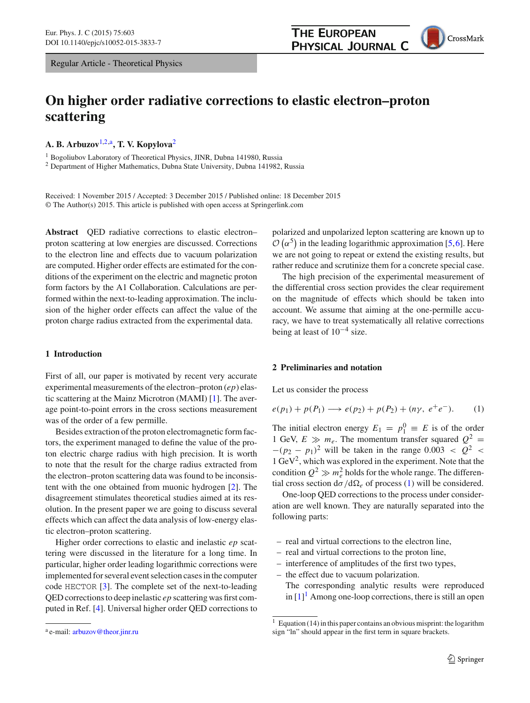# **THE EUROPEAN PHYSICAL JOURNAL C**

CrossMark

# **On higher order radiative corrections to elastic electron–proton scattering**

**A. B. Arbuzov**[1,2,](#page-0-0)a**, T. V. Kopylova**[2](#page-0-0)

<sup>1</sup> Bogoliubov Laboratory of Theoretical Physics, JINR, Dubna 141980, Russia

<sup>2</sup> Department of Higher Mathematics, Dubna State University, Dubna 141982, Russia

Received: 1 November 2015 / Accepted: 3 December 2015 / Published online: 18 December 2015 © The Author(s) 2015. This article is published with open access at Springerlink.com

**Abstract** QED radiative corrections to elastic electron– proton scattering at low energies are discussed. Corrections to the electron line and effects due to vacuum polarization are computed. Higher order effects are estimated for the conditions of the experiment on the electric and magnetic proton form factors by the A1 Collaboration. Calculations are performed within the next-to-leading approximation. The inclusion of the higher order effects can affect the value of the proton charge radius extracted from the experimental data.

# **1 Introduction**

First of all, our paper is motivated by recent very accurate experimental measurements of the electron–proton (*ep*) elastic scattering at the Mainz Microtron (MAMI) [\[1\]](#page-4-0). The average point-to-point errors in the cross sections measurement was of the order of a few permille.

Besides extraction of the proton electromagnetic form factors, the experiment managed to define the value of the proton electric charge radius with high precision. It is worth to note that the result for the charge radius extracted from the electron–proton scattering data was found to be inconsistent with the one obtained from muonic hydrogen [\[2\]](#page-4-1). The disagreement stimulates theoretical studies aimed at its resolution. In the present paper we are going to discuss several effects which can affect the data analysis of low-energy elastic electron–proton scattering.

Higher order corrections to elastic and inelastic *ep* scattering were discussed in the literature for a long time. In particular, higher order leading logarithmic corrections were implemented for several event selection cases in the computer code HECTOR [\[3](#page-4-2)]. The complete set of the next-to-leading QED corrections to deep inelastic *ep* scattering was first computed in Ref. [\[4\]](#page-4-3). Universal higher order QED corrections to <span id="page-0-0"></span>polarized and unpolarized lepton scattering are known up to  $\mathcal{O}(\alpha^5)$  in the leading logarithmic approximation [\[5,](#page-4-4)[6\]](#page-4-5). Here we are not going to repeat or extend the existing results, but rather reduce and scrutinize them for a concrete special case.

The high precision of the experimental measurement of the differential cross section provides the clear requirement on the magnitude of effects which should be taken into account. We assume that aiming at the one-permille accuracy, we have to treat systematically all relative corrections being at least of 10−<sup>4</sup> size.

### **2 Preliminaries and notation**

Let us consider the process

<span id="page-0-1"></span>
$$
e(p_1) + p(P_1) \longrightarrow e(p_2) + p(P_2) + (n\gamma, e^+e^-). \tag{1}
$$

The initial electron energy  $E_1 = p_1^0 \equiv E$  is of the order 1 GeV,  $E \gg m_e$ . The momentum transfer squared  $Q^2 =$  $-(p_2 - p_1)^2$  will be taken in the range 0.003 <  $Q^2$  < 1 GeV2, which was explored in the experiment. Note that the condition  $Q^2 \gg m_e^2$  holds for the whole range. The differential cross section  $d\sigma/d\Omega_e$  of process [\(1\)](#page-0-1) will be considered.

One-loop QED corrections to the process under consideration are well known. They are naturally separated into the following parts:

- real and virtual corrections to the electron line,
- real and virtual corrections to the proton line,
- interference of amplitudes of the first two types,
- the effect due to vacuum polarization. The corresponding analytic results were reproduced in  $[1]$  $[1]$ <sup>[1](#page-0-2)</sup> Among one-loop corrections, there is still an open

<sup>&</sup>lt;sup>a</sup> e-mail: [arbuzov@theor.jinr.ru](mailto:arbuzov@theor.jinr.ru)

<span id="page-0-2"></span><sup>&</sup>lt;sup>1</sup> Equation (14) in this paper contains an obvious misprint: the logarithm sign "ln" should appear in the first term in square brackets.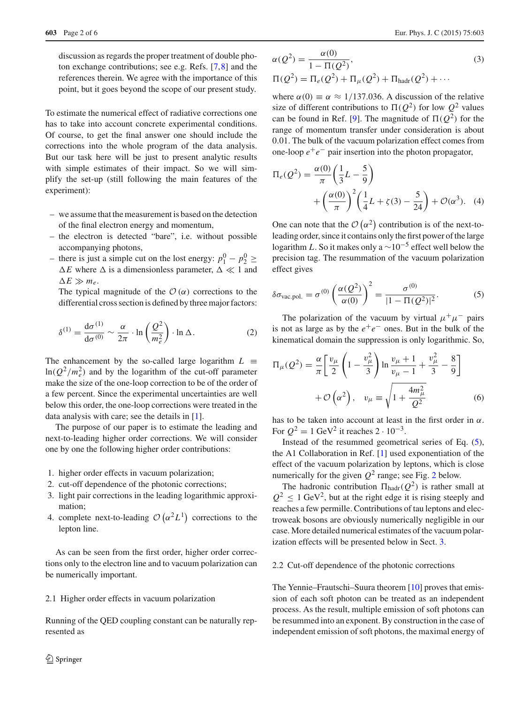discussion as regards the proper treatment of double photon exchange contributions; see e.g. Refs. [\[7](#page-5-0)[,8](#page-5-1)] and the references therein. We agree with the importance of this point, but it goes beyond the scope of our present study.

To estimate the numerical effect of radiative corrections one has to take into account concrete experimental conditions. Of course, to get the final answer one should include the corrections into the whole program of the data analysis. But our task here will be just to present analytic results with simple estimates of their impact. So we will simplify the set-up (still following the main features of the experiment):

- we assume that the measurement is based on the detection of the final electron energy and momentum,
- the electron is detected "bare", i.e. without possible accompanying photons,
- there is just a simple cut on the lost energy:  $p_1^0 p_2^0$  ≥  $\Delta E$  where  $\Delta$  is a dimensionless parameter,  $\Delta \ll 1$  and  $\Delta E \gg m_e$ .

The typical magnitude of the  $\mathcal{O}(\alpha)$  corrections to the differential cross section is defined by three major factors:

$$
\delta^{(1)} = \frac{d\sigma^{(1)}}{d\sigma^{(0)}} \sim \frac{\alpha}{2\pi} \cdot \ln\left(\frac{Q^2}{m_e^2}\right) \cdot \ln \Delta. \tag{2}
$$

The enhancement by the so-called large logarithm  $L \equiv$  $ln(Q^2/m_e^2)$  and by the logarithm of the cut-off parameter make the size of the one-loop correction to be of the order of a few percent. Since the experimental uncertainties are well below this order, the one-loop corrections were treated in the data analysis with care; see the details in [\[1\]](#page-4-0).

The purpose of our paper is to estimate the leading and next-to-leading higher order corrections. We will consider one by one the following higher order contributions:

- 1. higher order effects in vacuum polarization;
- 2. cut-off dependence of the photonic corrections;
- 3. light pair corrections in the leading logarithmic approximation;
- 4. complete next-to-leading  $\mathcal{O}(\alpha^2 L^1)$  corrections to the lepton line.

As can be seen from the first order, higher order corrections only to the electron line and to vacuum polarization can be numerically important.

#### 2.1 Higher order effects in vacuum polarization

Running of the QED coupling constant can be naturally represented as

$$
\alpha(Q^2) = \frac{\alpha(0)}{1 - \Pi(Q^2)},
$$
  
\n
$$
\Pi(Q^2) = \Pi_e(Q^2) + \Pi_\mu(Q^2) + \Pi_{\text{hadr}}(Q^2) + \cdots
$$
\n(3)

where  $\alpha(0) \equiv \alpha \approx 1/137.036$ . A discussion of the relative size of different contributions to  $\Pi(Q^2)$  for low  $Q^2$  values can be found in Ref. [\[9](#page-5-2)]. The magnitude of  $\Pi(Q^2)$  for the range of momentum transfer under consideration is about 0.01. The bulk of the vacuum polarization effect comes from one-loop  $e^+e^-$  pair insertion into the photon propagator,

$$
\Pi_e(Q^2) = \frac{\alpha(0)}{\pi} \left(\frac{1}{3}L - \frac{5}{9}\right) \n+ \left(\frac{\alpha(0)}{\pi}\right)^2 \left(\frac{1}{4}L + \zeta(3) - \frac{5}{24}\right) + \mathcal{O}(\alpha^3).
$$
 (4)

One can note that the  $\mathcal{O}(\alpha^2)$  contribution is of the next-toleading order, since it contains only the first power of the large logarithm *L*. So it makes only a  $\sim$ 10<sup>-5</sup> effect well below the precision tag. The resummation of the vacuum polarization effect gives

<span id="page-1-0"></span>
$$
\delta \sigma_{\text{vac.pol.}} = \sigma^{(0)} \left( \frac{\alpha(Q^2)}{\alpha(0)} \right)^2 = \frac{\sigma^{(0)}}{|1 - \Pi(Q^2)|^2}.
$$
 (5)

The polarization of the vacuum by virtual  $\mu^+ \mu^-$  pairs is not as large as by the  $e^+e^-$  ones. But in the bulk of the kinematical domain the suppression is only logarithmic. So,

$$
\Pi_{\mu}(Q^{2}) = \frac{\alpha}{\pi} \left[ \frac{v_{\mu}}{2} \left( 1 - \frac{v_{\mu}^{2}}{3} \right) \ln \frac{v_{\mu} + 1}{v_{\mu} - 1} + \frac{v_{\mu}^{2}}{3} - \frac{8}{9} \right] + \mathcal{O}\left(\alpha^{2}\right), \quad v_{\mu} \equiv \sqrt{1 + \frac{4m_{\mu}^{2}}{Q^{2}}} \tag{6}
$$

has to be taken into account at least in the first order in  $\alpha$ . For  $Q^2 = 1$  GeV<sup>2</sup> it reaches  $2 \cdot 10^{-3}$ .

Instead of the resummed geometrical series of Eq. [\(5\)](#page-1-0), the A1 Collaboration in Ref. [\[1](#page-4-0)] used exponentiation of the effect of the vacuum polarization by leptons, which is close numerically for the given  $Q^2$  $Q^2$  range; see Fig. 2 below.

The hadronic contribution  $\Pi_{\text{hadr}}(Q^2)$  is rather small at  $Q^2 \leq 1$  GeV<sup>2</sup>, but at the right edge it is rising steeply and reaches a few permille. Contributions of tau leptons and electroweak bosons are obviously numerically negligible in our case. More detailed numerical estimates of the vacuum polarization effects will be presented below in Sect. [3.](#page-3-0)

## 2.2 Cut-off dependence of the photonic corrections

The Yennie–Frautschi–Suura theorem [\[10\]](#page-5-3) proves that emission of each soft photon can be treated as an independent process. As the result, multiple emission of soft photons can be resummed into an exponent. By construction in the case of independent emission of soft photons, the maximal energy of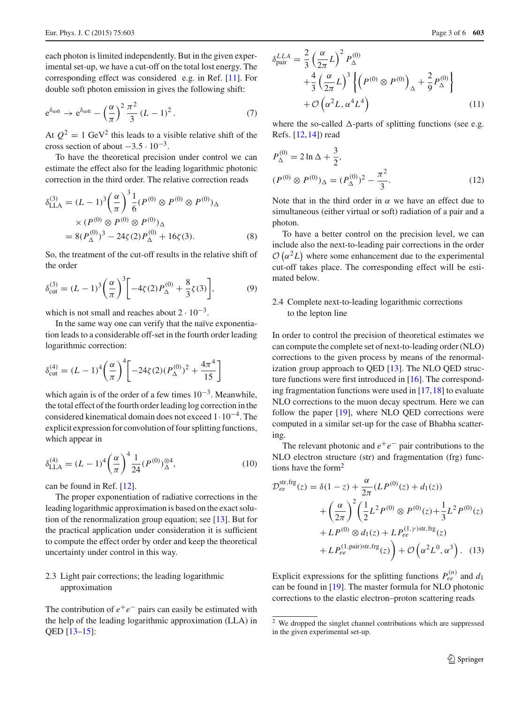each photon is limited independently. But in the given experimental set-up, we have a cut-off on the total lost energy. The corresponding effect was considered e.g. in Ref. [\[11](#page-5-4)]. For double soft photon emission in gives the following shift:

$$
e^{\delta_{soft}} \to e^{\delta_{soft}} - \left(\frac{\alpha}{\pi}\right)^2 \frac{\pi^2}{3} (L-1)^2.
$$
 (7)

At  $Q^2 = 1$  GeV<sup>2</sup> this leads to a visible relative shift of the cross section of about  $-3.5 \cdot 10^{-3}$ .

To have the theoretical precision under control we can estimate the effect also for the leading logarithmic photonic correction in the third order. The relative correction reads

$$
\delta_{\text{LLA}}^{(3)} = (L - 1)^3 \left(\frac{\alpha}{\pi}\right)^3 \frac{1}{6} (P^{(0)} \otimes P^{(0)} \otimes P^{(0)})_{\Delta}
$$

$$
\times (P^{(0)} \otimes P^{(0)} \otimes P^{(0)})_{\Delta}
$$

$$
= 8(P_{\Delta}^{(0)})^3 - 24\zeta(2)P_{\Delta}^{(0)} + 16\zeta(3). \tag{8}
$$

So, the treatment of the cut-off results in the relative shift of the order

$$
\delta_{\text{cut}}^{(3)} = (L - 1)^3 \left(\frac{\alpha}{\pi}\right)^3 \left[-4\zeta(2)P_{\Delta}^{(0)} + \frac{8}{3}\zeta(3)\right],\tag{9}
$$

which is not small and reaches about  $2 \cdot 10^{-3}$ .

In the same way one can verify that the naïve exponentiation leads to a considerable off-set in the fourth order leading logarithmic correction:

$$
\delta_{\text{cut}}^{(4)} = (L - 1)^4 \left(\frac{\alpha}{\pi}\right)^4 \left[ -24\zeta(2)(P_{\Delta}^{(0)})^2 + \frac{4\pi^4}{15} \right]
$$

which again is of the order of a few times  $10^{-3}$ . Meanwhile, the total effect of the fourth order leading log correction in the considered kinematical domain does not exceed 1·10−4. The explicit expression for convolution of four splitting functions, which appear in

$$
\delta_{\text{LLA}}^{(4)} = (L - 1)^4 \left(\frac{\alpha}{\pi}\right)^4 \frac{1}{24} (P^{(0)})^{\otimes 4}_{\Delta},\tag{10}
$$

can be found in Ref. [\[12\]](#page-5-5).

The proper exponentiation of radiative corrections in the leading logarithmic approximation is based on the exact solution of the renormalization group equation; see [\[13\]](#page-5-6). But for the practical application under consideration it is sufficient to compute the effect order by order and keep the theoretical uncertainty under control in this way.

# 2.3 Light pair corrections; the leading logarithmic approximation

The contribution of  $e^+e^-$  pairs can easily be estimated with the help of the leading logarithmic approximation (LLA) in QED [\[13](#page-5-6)[–15](#page-5-7)]:

<span id="page-2-1"></span>
$$
\delta_{\text{pair}}^{LLA} = \frac{2}{3} \left( \frac{\alpha}{2\pi} L \right)^2 P_{\Delta}^{(0)} + \frac{4}{3} \left( \frac{\alpha}{2\pi} L \right)^3 \left\{ \left( P^{(0)} \otimes P^{(0)} \right)_{\Delta} + \frac{2}{9} P_{\Delta}^{(0)} \right\} + \mathcal{O} \left( \alpha^2 L, \alpha^4 L^4 \right) \tag{11}
$$

where the so-called  $\Delta$ -parts of splitting functions (see e.g. Refs. [\[12,](#page-5-5)[14\]](#page-5-8)) read

$$
P_{\Delta}^{(0)} = 2 \ln \Delta + \frac{3}{2},
$$
  
\n
$$
(P^{(0)} \otimes P^{(0)})_{\Delta} = (P_{\Delta}^{(0)})^2 - \frac{\pi^2}{3}.
$$
\n(12)

Note that in the third order in  $\alpha$  we have an effect due to simultaneous (either virtual or soft) radiation of a pair and a photon.

To have a better control on the precision level, we can include also the next-to-leading pair corrections in the order  $\mathcal{O}(\alpha^2 L)$  where some enhancement due to the experimental cut-off takes place. The corresponding effect will be estimated below.

# 2.4 Complete next-to-leading logarithmic corrections to the lepton line

In order to control the precision of theoretical estimates we can compute the complete set of next-to-leading order (NLO) corrections to the given process by means of the renormalization group approach to QED [\[13](#page-5-6)]. The NLO QED structure functions were first introduced in [\[16\]](#page-5-9). The corresponding fragmentation functions were used in  $[17,18]$  $[17,18]$  $[17,18]$  to evaluate NLO corrections to the muon decay spectrum. Here we can follow the paper [\[19\]](#page-5-12), where NLO QED corrections were computed in a similar set-up for the case of Bhabha scattering.

The relevant photonic and  $e^+e^-$  pair contributions to the NLO electron structure (str) and fragmentation (frg) functions have the form $<sup>2</sup>$  $<sup>2</sup>$  $<sup>2</sup>$ </sup>

$$
\mathcal{D}_{ee}^{\text{str,fg}}(z) = \delta(1-z) + \frac{\alpha}{2\pi} (L P^{(0)}(z) + d_1(z)) \n+ \left(\frac{\alpha}{2\pi}\right)^2 \left(\frac{1}{2} L^2 P^{(0)} \otimes P^{(0)}(z) + \frac{1}{3} L^2 P^{(0)}(z) \n+ L P^{(0)} \otimes d_1(z) + L P_{ee}^{(1,\gamma)\text{str,frg}}(z) \n+ L P_{ee}^{(1,\text{pair})\text{str,frg}}(z) + \mathcal{O}\left(\alpha^2 L^0, \alpha^3\right). \tag{13}
$$

Explicit expressions for the splitting functions  $P_{ee}^{(n)}$  and  $d_1$ can be found in [\[19](#page-5-12)]. The master formula for NLO photonic corrections to the elastic electron–proton scattering reads

<span id="page-2-0"></span><sup>2</sup> We dropped the singlet channel contributions which are suppressed in the given experimental set-up.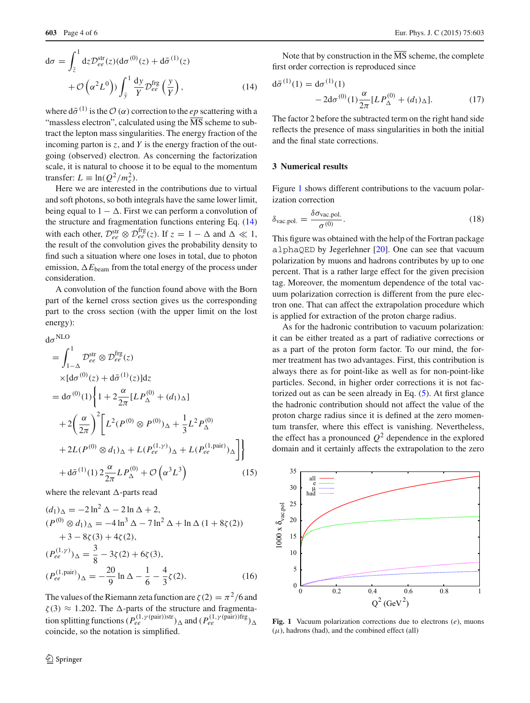<span id="page-3-1"></span>
$$
d\sigma = \int_{\bar{z}}^{1} dz \mathcal{D}_{ee}^{\text{str}}(z) (d\sigma^{(0)}(z) + d\bar{\sigma}^{(1)}(z) + \mathcal{O}\left(\alpha^{2}L^{0}\right)) \int_{\bar{y}}^{1} \frac{dy}{Y} \mathcal{D}_{ee}^{\text{frg}}\left(\frac{y}{Y}\right), \tag{14}
$$

where  $d\bar{\sigma}^{(1)}$  is the  $\mathcal{O}(\alpha)$  correction to the *ep* scattering with a "massless electron", calculated using the  $\overline{\text{MS}}$  scheme to subtract the lepton mass singularities. The energy fraction of the incoming parton is *z*, and *Y* is the energy fraction of the outgoing (observed) electron. As concerning the factorization scale, it is natural to choose it to be equal to the momentum transfer:  $L \equiv \ln(Q^2/m_e^2)$ .

Here we are interested in the contributions due to virtual and soft photons, so both integrals have the same lower limit, being equal to  $1 - \Delta$ . First we can perform a convolution of the structure and fragmentation functions entering Eq. [\(14\)](#page-3-1) with each other,  $\mathcal{D}_{ee}^{\text{str}} \otimes \mathcal{D}_{ee}^{\text{frg}}(z)$ . If  $z = 1 - \Delta$  and  $\Delta \ll 1$ , the result of the convolution gives the probability density to find such a situation where one loses in total, due to photon emission,  $\Delta E_{\text{beam}}$  from the total energy of the process under consideration.

A convolution of the function found above with the Born part of the kernel cross section gives us the corresponding part to the cross section (with the upper limit on the lost energy):

<span id="page-3-3"></span>
$$
d\sigma^{NLO}
$$
\n
$$
= \int_{1-\Delta}^{1} D_{ee}^{str} \otimes D_{ee}^{frg}(z)
$$
\n
$$
\times [d\sigma^{(0)}(z) + d\bar{\sigma}^{(1)}(z)]dz
$$
\n
$$
= d\sigma^{(0)}(1) \left\{ 1 + 2 \frac{\alpha}{2\pi} [L P_{\Delta}^{(0)} + (d_1)_{\Delta}] \right\}
$$
\n
$$
+ 2 \left( \frac{\alpha}{2\pi} \right)^{2} \left[ L^{2} (P^{(0)} \otimes P^{(0)})_{\Delta} + \frac{1}{3} L^{2} P_{\Delta}^{(0)} \right.
$$
\n
$$
+ 2L (P^{(0)} \otimes d_1)_{\Delta} + L (P_{ee}^{(1,\gamma)})_{\Delta} + L (P_{ee}^{(1,\text{pair})})_{\Delta} \right] \left\}
$$
\n
$$
+ d\bar{\sigma}^{(1)}(1) 2 \frac{\alpha}{2\pi} L P_{\Delta}^{(0)} + \mathcal{O} \left( \alpha^{3} L^{3} \right) \right) \tag{15}
$$

where the relevant  $\Delta$ -parts read

$$
(d_1)_{\Delta} = -2 \ln^2 \Delta - 2 \ln \Delta + 2,
$$
  
\n
$$
(P^{(0)} \otimes d_1)_{\Delta} = -4 \ln^3 \Delta - 7 \ln^2 \Delta + \ln \Delta (1 + 8\zeta(2))
$$
  
\n
$$
+3 - 8\zeta(3) + 4\zeta(2),
$$
  
\n
$$
(P_{ee}^{(1,\gamma)})_{\Delta} = \frac{3}{8} - 3\zeta(2) + 6\zeta(3),
$$
  
\n
$$
(P_{ee}^{(1,\text{pair})})_{\Delta} = -\frac{20}{9} \ln \Delta - \frac{1}{6} - \frac{4}{3}\zeta(2).
$$
 (16)

The values of the Riemann zeta function are  $\zeta(2) = \pi^2/6$  and  $\zeta(3) \approx 1.202$ . The  $\Delta$ -parts of the structure and fragmentation splitting functions  $(P_{ee}^{(1,\gamma(pair))str})_{\Delta}$  and  $(P_{ee}^{(1,\gamma(pair))frg})_{\Delta}$ coincide, so the notation is simplified.

<sup>2</sup> Springer

Note that by construction in the  $\overline{\text{MS}}$  scheme, the complete first order correction is reproduced since

$$
d\bar{\sigma}^{(1)}(1) = d\sigma^{(1)}(1)
$$
  
- 2d\sigma^{(0)}(1) $\frac{\alpha}{2\pi} [L P_{\Delta}^{(0)} + (d_1)_{\Delta}].$  (17)

The factor 2 before the subtracted term on the right hand side reflects the presence of mass singularities in both the initial and the final state corrections.

# <span id="page-3-0"></span>**3 Numerical results**

Figure [1](#page-3-2) shows different contributions to the vacuum polarization correction

$$
\delta_{\text{vac.pol.}} = \frac{\delta \sigma_{\text{vac.pol.}}}{\sigma^{(0)}}.
$$
\n(18)

This figure was obtained with the help of the Fortran package alphaQED by Jegerlehner  $[20]$ . One can see that vacuum polarization by muons and hadrons contributes by up to one percent. That is a rather large effect for the given precision tag. Moreover, the momentum dependence of the total vacuum polarization correction is different from the pure electron one. That can affect the extrapolation procedure which is applied for extraction of the proton charge radius.

As for the hadronic contribution to vacuum polarization: it can be either treated as a part of radiative corrections or as a part of the proton form factor. To our mind, the former treatment has two advantages. First, this contribution is always there as for point-like as well as for non-point-like particles. Second, in higher order corrections it is not factorized out as can be seen already in Eq. [\(5\)](#page-1-0). At first glance the hadronic contribution should not affect the value of the proton charge radius since it is defined at the zero momentum transfer, where this effect is vanishing. Nevertheless, the effect has a pronounced  $Q^2$  dependence in the explored domain and it certainly affects the extrapolation to the zero



<span id="page-3-2"></span>**Fig. 1** Vacuum polarization corrections due to electrons (*e*), muons  $(\mu)$ , hadrons (had), and the combined effect (all)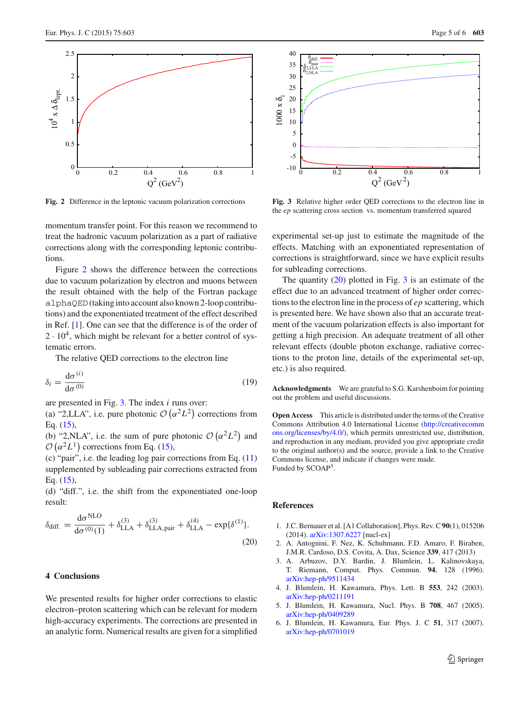

<span id="page-4-6"></span>**Fig. 2** Difference in the leptonic vacuum polarization corrections

momentum transfer point. For this reason we recommend to treat the hadronic vacuum polarization as a part of radiative corrections along with the corresponding leptonic contributions.

Figure [2](#page-4-6) shows the difference between the corrections due to vacuum polarization by electron and muons between the result obtained with the help of the Fortran package alphaQED(taking into account also known 2-loop contributions) and the exponentiated treatment of the effect described in Ref. [\[1\]](#page-4-0). One can see that the difference is of the order of  $2 \cdot 10^4$ , which might be relevant for a better control of systematic errors.

The relative QED corrections to the electron line

$$
\delta_i = \frac{\mathrm{d}\sigma^{(i)}}{\mathrm{d}\sigma^{(0)}}\tag{19}
$$

are presented in Fig. [3.](#page-4-7) The index *i* runs over:

(a) "2,LLA", i.e. pure photonic  $\mathcal{O}(\alpha^2 L^2)$  corrections from Eq. [\(15\)](#page-3-3),

(b) "2,NLA", i.e. the sum of pure photonic  $\mathcal{O}(\alpha^2 L^2)$  and  $\mathcal{O}\left(\alpha^2 L^1\right)$  corrections from Eq. [\(15\)](#page-3-3),

(c) "pair", i.e. the leading log pair corrections from Eq. [\(11\)](#page-2-1) supplemented by subleading pair corrections extracted from Eq. [\(15\)](#page-3-3),

(d) "diff.", i.e. the shift from the exponentiated one-loop result:

<span id="page-4-8"></span>
$$
\delta_{\text{diff.}} = \frac{d\sigma^{\text{NLO}}}{d\sigma^{(0)}(1)} + \delta_{\text{LLA}}^{(3)} + \delta_{\text{LLA, pair}}^{(3)} + \delta_{\text{LLA}}^{(4)} - \exp{\{\delta^{(1)}\}}.
$$
\n(20)

## **4 Conclusions**

We presented results for higher order corrections to elastic electron–proton scattering which can be relevant for modern high-accuracy experiments. The corrections are presented in an analytic form. Numerical results are given for a simplified



<span id="page-4-7"></span>**Fig. 3** Relative higher order QED corrections to the electron line in the *ep* scattering cross section vs. momentum transferred squared

experimental set-up just to estimate the magnitude of the effects. Matching with an exponentiated representation of corrections is straightforward, since we have explicit results for subleading corrections.

The quantity  $(20)$  plotted in Fig. [3](#page-4-7) is an estimate of the effect due to an advanced treatment of higher order corrections to the electron line in the process of *ep* scattering, which is presented here. We have shown also that an accurate treatment of the vacuum polarization effects is also important for getting a high precision. An adequate treatment of all other relevant effects (double photon exchange, radiative corrections to the proton line, details of the experimental set-up, etc.) is also required.

**Acknowledgments** We are grateful to S.G. Karshenboim for pointing out the problem and useful discussions.

**Open Access** This article is distributed under the terms of the Creative Commons Attribution 4.0 International License [\(http://creativecomm](http://creativecommons.org/licenses/by/4.0/) [ons.org/licenses/by/4.0/\)](http://creativecommons.org/licenses/by/4.0/), which permits unrestricted use, distribution, and reproduction in any medium, provided you give appropriate credit to the original author(s) and the source, provide a link to the Creative Commons license, and indicate if changes were made. Funded by SCOAP<sup>3</sup>.

#### **References**

- <span id="page-4-0"></span>1. J.C. Bernauer et al. [A1 Collaboration], Phys. Rev. C **90**(1), 015206 (2014). [arXiv:1307.6227](http://arxiv.org/abs/1307.6227) [nucl-ex]
- <span id="page-4-1"></span>2. A. Antognini, F. Nez, K. Schuhmann, F.D. Amaro, F. Biraben, J.M.R. Cardoso, D.S. Covita, A. Dax, Science **339**, 417 (2013)
- <span id="page-4-2"></span>3. A. Arbuzov, D.Y. Bardin, J. Blumlein, L. Kalinovskaya, T. Riemann, Comput. Phys. Commun. **94**, 128 (1996). [arXiv:hep-ph/9511434](http://arxiv.org/abs/hep-ph/9511434)
- <span id="page-4-3"></span>4. J. Blumlein, H. Kawamura, Phys. Lett. B **553**, 242 (2003). [arXiv:hep-ph/0211191](http://arxiv.org/abs/hep-ph/0211191)
- <span id="page-4-4"></span>5. J. Blumlein, H. Kawamura, Nucl. Phys. B **708**, 467 (2005). [arXiv:hep-ph/0409289](http://arxiv.org/abs/hep-ph/0409289)
- <span id="page-4-5"></span>6. J. Blumlein, H. Kawamura, Eur. Phys. J. C **51**, 317 (2007). [arXiv:hep-ph/0701019](http://arxiv.org/abs/hep-ph/0701019)